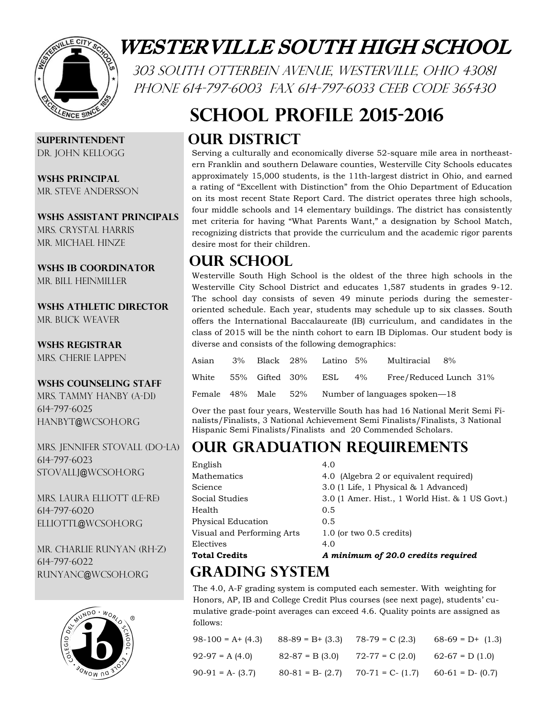

# WESTERVILLE SOUTH HIGH SCHOOL

303 South Otterbein Avenue, Westerville, Ohio 43081 PHONE 614-797-6003 FAX 614-797-6033 CEEB CODE 365430

# **School Profile 2015-2016**

### **Our District**

Serving a culturally and economically diverse 52-square mile area in northeastern Franklin and southern Delaware counties, Westerville City Schools educates approximately 15,000 students, is the 11th-largest district in Ohio, and earned a rating of "Excellent with Distinction" from the Ohio Department of Education on its most recent State Report Card. The district operates three high schools, four middle schools and 14 elementary buildings. The district has consistently met criteria for having "What Parents Want," a designation by School Match, recognizing districts that provide the curriculum and the academic rigor parents desire most for their children.

### **Our School**

Westerville South High School is the oldest of the three high schools in the Westerville City School District and educates 1,587 students in grades 9-12. The school day consists of seven 49 minute periods during the semesteroriented schedule. Each year, students may schedule up to six classes. South offers the International Baccalaureate (IB) curriculum, and candidates in the class of 2015 will be the ninth cohort to earn IB Diplomas. Our student body is diverse and consists of the following demographics:

| Asian                       |  | 3% Black 28% Latino 5%                                   |  | Multiracial 8%         |  |  |
|-----------------------------|--|----------------------------------------------------------|--|------------------------|--|--|
| White 55% Gifted 30% ESL 4% |  |                                                          |  | Free/Reduced Lunch 31% |  |  |
|                             |  | Female $48\%$ Male $52\%$ Number of languages spoken -18 |  |                        |  |  |

Over the past four years, Westerville South has had 16 National Merit Semi Finalists/Finalists, 3 National Achievement Semi Finalists/Finalists, 3 National Hispanic Semi Finalists/Finalists and 20 Commended Scholars.

## **Our Graduation Requirements**

| English                    | 4.0                                             |
|----------------------------|-------------------------------------------------|
| Mathematics                | 4.0 (Algebra 2 or equivalent required)          |
| Science                    | $3.0$ (1 Life, 1 Physical $\&$ 1 Advanced)      |
| Social Studies             | 3.0 (1 Amer. Hist., 1 World Hist. & 1 US Govt.) |
| Health                     | 0.5                                             |
| Physical Education         | 0.5                                             |
| Visual and Performing Arts | $1.0$ (or two $0.5$ credits)                    |
| Electives                  | 4.0                                             |
| <b>Total Credits</b>       | A minimum of 20.0 credits required              |

# **Grading System**

The 4.0, A-F grading system is computed each semester. With weighting for Honors, AP, IB and College Credit Plus courses (see next page), students' cumulative grade-point averages can exceed 4.6. Quality points are assigned as follows:

| $98-100 = A+ (4.3)$ | $88-89 = B+ (3.3)$  | $78-79 = C(2.3)$    | $68-69 = D+ (1.3)$  |
|---------------------|---------------------|---------------------|---------------------|
| $92-97 = A(4.0)$    | $82-87 = B(3.0)$    | $72-77 = C(2.0)$    | $62-67 = D(1.0)$    |
| $90-91 = A - (3.7)$ | $80-81 = B - (2.7)$ | $70-71 = C - (1.7)$ | $60-61 = D - (0.7)$ |

**Superintendent** Dr. John Kellogg

**WSHS Principal** MR. STEVE ANDERSSON

### **WSHS Assistant Principals**

Mrs. Crystal Harris MR. MICHAEL HINZE

#### **WSHS IB Coordinator**

MR. BILL HEINMILLER

**WSHS Athletic Director** Mr. Buck Weaver

#### **WSHS Registrar**

Mrs. Cherie Lappen

#### **WSHS counseling staff**

Mrs. Tammy Hanby (A-Di) 614-797-6025 hanbyt@wcsoh.org

Mrs. Jennifer Stovall (Do-La) 614-797-6023 stovallj@wcsoh.org

MRS. LAURA ELLIOTT (LE-RE) 614-797-6020 elliottl@wcsoh.org

Mr. Charlie Runyan (Rh-z) 614-797-6022 runyanc@wcsoh.org